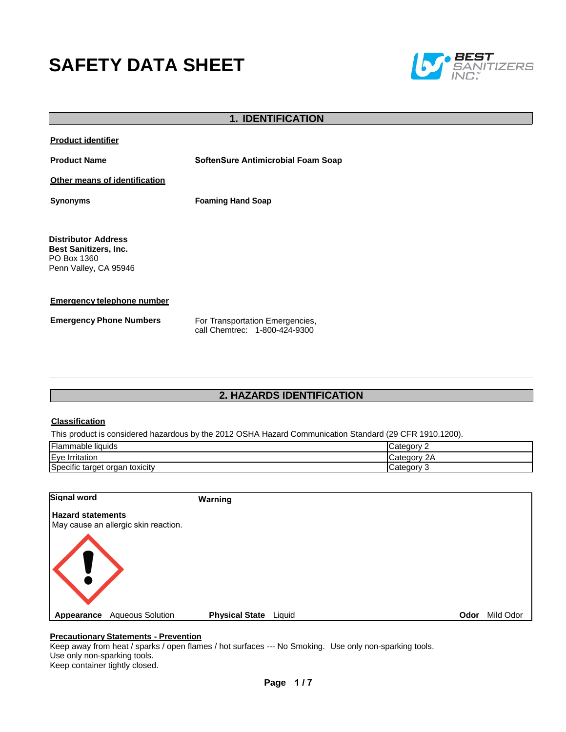# **SAFETY DATA SHEET**



### **1. IDENTIFICATION**

**Product identifier**

**Product Name SoftenSure Antimicrobial Foam Soap**

**Other means of identification**

**Synonyms Foaming Hand Soap**

**Distributor Address Best Sanitizers, Inc.**  PO Box 1360 Penn Valley, CA 95946

**Emergency telephone number**

**Emergency Phone Numbers** For Transportation Emergencies,

call Chemtrec: 1-800-424-9300

# **2. HAZARDS IDENTIFICATION**

#### **Classification**

This product is considered hazardous by the 2012 OSHA Hazard Communication Standard (29 CFR 1910.1200).

| Flammable liquids                    | Category      |
|--------------------------------------|---------------|
| Eye<br>Irritation                    | ∵ ategoryټ    |
| Specific target<br>toxicity<br>organ | Category<br>ັ |

| <b>Signal word</b>                                               | Warning                                                 |      |           |
|------------------------------------------------------------------|---------------------------------------------------------|------|-----------|
| <b>Hazard statements</b><br>May cause an allergic skin reaction. |                                                         |      |           |
| K!                                                               |                                                         |      |           |
| Appearance                                                       | <b>Physical State</b> Liquid<br><b>Aqueous Solution</b> | Odor | Mild Odor |

#### **Precautionary Statements - Prevention**

Keep away from heat / sparks / open flames / hot surfaces --- No Smoking. Use only non-sparking tools. Use only non-sparking tools. Keep container tightly closed.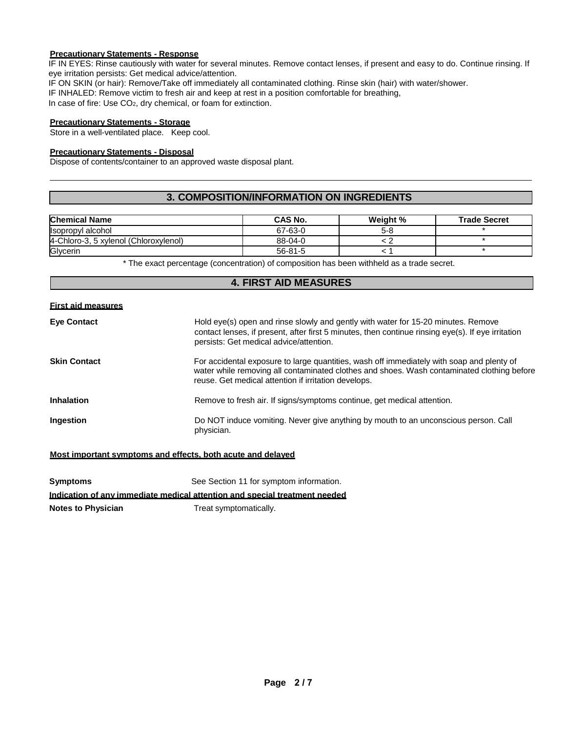# **Precautionary Statements - Response**

IF IN EYES: Rinse cautiously with water for several minutes. Remove contact lenses, if present and easy to do. Continue rinsing. If eye irritation persists: Get medical advice/attention.

IF ON SKIN (or hair): Remove/Take off immediately all contaminated clothing. Rinse skin (hair) with water/shower.

IF INHALED: Remove victim to fresh air and keep at rest in a position comfortable for breathing,

In case of fire: Use CO<sub>2</sub>, dry chemical, or foam for extinction.

#### **Precautionary Statements - Storage**

Store in a well-ventilated place. Keep cool.

#### **Precautionary Statements - Disposal**

Dispose of contents/container to an approved waste disposal plant.

# **3. COMPOSITION/INFORMATION ON INGREDIENTS**

| <b>Chemical Name</b>                  | CAS No.       | Weight % | <b>Trade Secret</b> |
|---------------------------------------|---------------|----------|---------------------|
| Isopropyl alcohol                     | 67-63-0       | 5-8      |                     |
| 4-Chloro-3, 5 xylenol (Chloroxylenol) | 88-04-0       |          |                     |
| Glycerin                              | $56 - 81 - 5$ |          |                     |

\* The exact percentage (concentration) of composition has been withheld as a trade secret.

## **4. FIRST AID MEASURES**

#### **First aid measures**

| <b>Eye Contact</b>  | Hold eye(s) open and rinse slowly and gently with water for 15-20 minutes. Remove<br>contact lenses, if present, after first 5 minutes, then continue rinsing eye(s). If eye irritation<br>persists: Get medical advice/attention.              |
|---------------------|-------------------------------------------------------------------------------------------------------------------------------------------------------------------------------------------------------------------------------------------------|
| <b>Skin Contact</b> | For accidental exposure to large quantities, wash off immediately with soap and plenty of<br>water while removing all contaminated clothes and shoes. Wash contaminated clothing before<br>reuse. Get medical attention if irritation develops. |
| <b>Inhalation</b>   | Remove to fresh air. If signs/symptoms continue, get medical attention.                                                                                                                                                                         |
| Ingestion           | Do NOT induce vomiting. Never give anything by mouth to an unconscious person. Call<br>physician.                                                                                                                                               |

#### **Most important symptoms and effects, both acute and delayed**

| Symptoms                  | See Section 11 for symptom information.                                    |
|---------------------------|----------------------------------------------------------------------------|
|                           | Indication of any immediate medical attention and special treatment needed |
| <b>Notes to Physician</b> | Treat symptomatically.                                                     |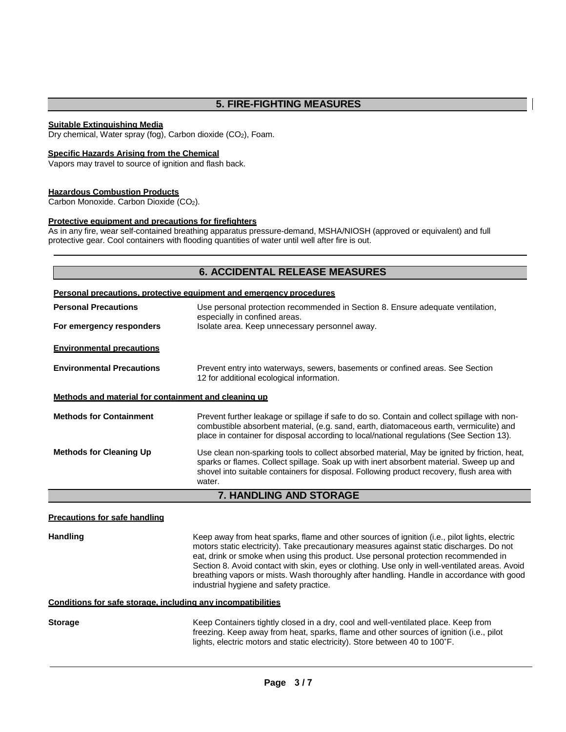# **5. FIRE-FIGHTING MEASURES**

#### **Suitable Extinguishing Media**

Dry chemical, Water spray (fog), Carbon dioxide (CO<sub>2</sub>), Foam.

#### **Specific Hazards Arising from the Chemical**

Vapors may travel to source of ignition and flash back.

#### **Hazardous Combustion Products**

Carbon Monoxide. Carbon Dioxide (CO2).

#### **Protective equipment and precautions for firefighters**

As in any fire, wear self-contained breathing apparatus pressure-demand, MSHA/NIOSH (approved or equivalent) and full protective gear. Cool containers with flooding quantities of water until well after fire is out.

# **6. ACCIDENTAL RELEASE MEASURES Personal precautions, protective equipment and emergency procedures Personal Precautions For emergency responders** Use personal protection recommended in Section 8. Ensure adequate ventilation, especially in confined areas. Isolate area. Keep unnecessary personnel away. **Environmental precautions Environmental Precautions** Prevent entry into waterways, sewers, basements or confined areas. See Section 12 for additional ecological information. **Methods and material for containment and cleaning up Methods for Containment** Prevent further leakage or spillage if safe to do so. Contain and collect spillage with noncombustible absorbent material, (e.g. sand, earth, diatomaceous earth, vermiculite) and place in container for disposal according to local/national regulations (See Section 13). **Methods for Cleaning Up** Use clean non-sparking tools to collect absorbed material, May be ignited by friction, heat, sparks or flames. Collect spillage. Soak up with inert absorbent material. Sweep up and shovel into suitable containers for disposal. Following product recovery, flush area with water. **7. HANDLING AND STORAGE Precautions for safe handling Handling** Keep away from heat sparks, flame and other sources of ignition (i.e., pilot lights, electric

motors static electricity). Take precautionary measures against static discharges. Do not eat, drink or smoke when using this product. Use personal protection recommended in Section 8. Avoid contact with skin, eyes or clothing. Use only in well-ventilated areas. Avoid breathing vapors or mists. Wash thoroughly after handling. Handle in accordance with good industrial hygiene and safety practice.

#### **Conditions for safe storage, including any incompatibilities**

**Storage** Keep Containers tightly closed in a dry, cool and well-ventilated place. Keep from freezing. Keep away from heat, sparks, flame and other sources of ignition (i.e., pilot lights, electric motors and static electricity). Store between 40 to 100˚F.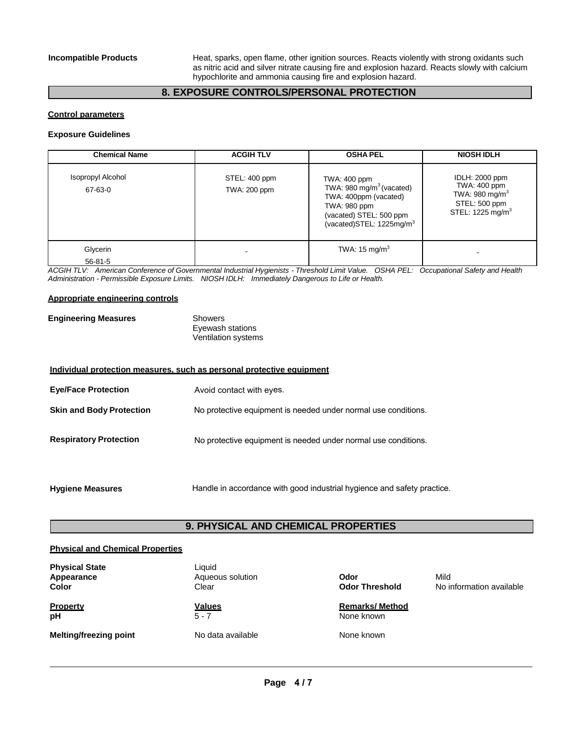**Incompatible Products** Heat, sparks, open flame, other ignition sources. Reacts violently with strong oxidants such as nitric acid and silver nitrate causing fire and explosion hazard. Reacts slowly with calcium hypochlorite and ammonia causing fire and explosion hazard.

# **8. EXPOSURE CONTROLS/PERSONAL PROTECTION**

#### **Control parameters**

#### **Exposure Guidelines**

| <b>Chemical Name</b>                | <b>ACGIH TLV</b>              | <b>OSHA PEL</b>                                                                                                                                                  | <b>NIOSH IDLH</b>                                                                                    |
|-------------------------------------|-------------------------------|------------------------------------------------------------------------------------------------------------------------------------------------------------------|------------------------------------------------------------------------------------------------------|
| <b>Isopropyl Alcohol</b><br>67-63-0 | STEL: 400 ppm<br>TWA: 200 ppm | TWA: 400 ppm<br>TWA: 980 mg/m <sup>3</sup> (vacated)<br>TWA: 400ppm (vacated)<br>TWA: 980 ppm<br>(vacated) STEL: 500 ppm<br>(vacated)STEL: 1225mg/m <sup>3</sup> | IDLH: 2000 ppm<br>TWA: 400 ppm<br>TWA: 980 mg/m $3$<br>STEL: 500 ppm<br>STEL: 1225 mg/m <sup>3</sup> |
| Glycerin                            |                               | TWA: 15 mg/m <sup>3</sup>                                                                                                                                        |                                                                                                      |
| $56 - 81 - 5$                       |                               |                                                                                                                                                                  |                                                                                                      |

*ACGIH TLV: American Conference of Governmental Industrial Hygienists - Threshold Limit Value. OSHA PEL: Occupational Safety and Health Administration - Permissible Exposure Limits. NIOSH IDLH: Immediately Dangerous to Life or Health.*

#### **Appropriate engineering controls**

| <b>Engineering Measures</b> | Showers                    |
|-----------------------------|----------------------------|
|                             | Eyewash stations           |
|                             | <b>Ventilation systems</b> |

| Individual protection measures, such as personal protective equipment |                                                                |  |
|-----------------------------------------------------------------------|----------------------------------------------------------------|--|
| <b>Eye/Face Protection</b>                                            | Avoid contact with eyes.                                       |  |
| <b>Skin and Body Protection</b>                                       | No protective equipment is needed under normal use conditions. |  |
| <b>Respiratory Protection</b>                                         | No protective equipment is needed under normal use conditions. |  |

**Hygiene Measures** Handle in accordance with good industrial hygience and safety practice.

# **9. PHYSICAL AND CHEMICAL PROPERTIES**

#### **Physical and Chemical Properties**

| <b>Physical State</b><br>Appearance<br>Color | Liauid<br>Aqueous solution<br>Clear | Odor<br><b>Odor Threshold</b>        | Mild<br>No information available |
|----------------------------------------------|-------------------------------------|--------------------------------------|----------------------------------|
| Property<br>рH                               | <b>Values</b><br>$5 - 7$            | <b>Remarks/ Method</b><br>None known |                                  |
| <b>Melting/freezing point</b>                | No data available                   | None known                           |                                  |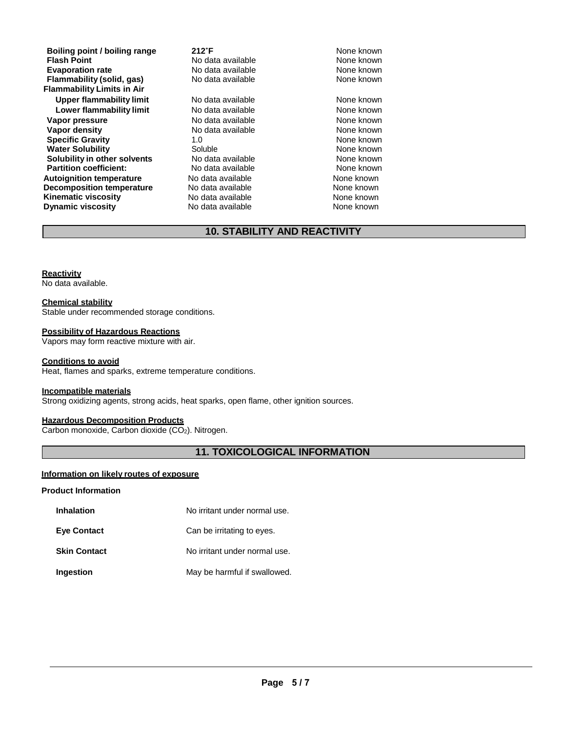**Boiling point / boiling range 212°F 1212°F 1212°F 1212°F 1212 121 121 121 121 121 121 121 121 121 121 121 121 121 121 121 121 121 121 121 121 121 121 121 121 121 Flash Point**<br> **Flash Point**<br> **Evaporation rate No data available** Mone known<br>
None known **Flammability** (solid, gas) **Flammability Limits in Air Upper flammability limit** No data available None known **Lower flammability limit** No data available None known **Vapor pressure No data available and the None known**<br> **Vapor density No data available None known**<br>
None known **Vapor density Specific Gravity 1.0** 1.0 None known<br> **Water Solubility** Coluble Coluble Colubre 2.0 None known **Water Solubility Communisty Soluble Mater Solubility Communisty Communisty Communisty Communisty Communisty Co<br>
Solubility in other solvents** Communisty None known None known **Solubility in other solvents** No data available **None known**<br> **Partition coefficient:** No data available None known **Partition coefficient:** No data available **None known**<br> **Autoignition temperature** No data available None known None known **Autoignition temperature No data available Mone known**<br> **Decomposition temperature** No data available **None known Decomposition temperature Kinematic viscosity No data available** None known **Dynamic viscosity No data available None known** 

**Evaporation No data available None known No data available None Known None known None known None known None known** 

# **10. STABILITY AND REACTIVITY**

#### **Reactivity**

No data available.

#### **Chemical stability**

Stable under recommended storage conditions.

#### **Possibility of Hazardous Reactions**

Vapors may form reactive mixture with air.

#### **Conditions to avoid**

Heat, flames and sparks, extreme temperature conditions.

#### **Incompatible materials**

Strong oxidizing agents, strong acids, heat sparks, open flame, other ignition sources.

# **Hazardous Decomposition Products**

Carbon monoxide, Carbon dioxide (CO2). Nitrogen.

#### **11. TOXICOLOGICAL INFORMATION**

#### **Information on likely routes of exposure**

#### **Product Information**

| <b>Inhalation</b>   | No irritant under normal use. |
|---------------------|-------------------------------|
| <b>Eye Contact</b>  | Can be irritating to eyes.    |
| <b>Skin Contact</b> | No irritant under normal use. |
| Ingestion           | May be harmful if swallowed.  |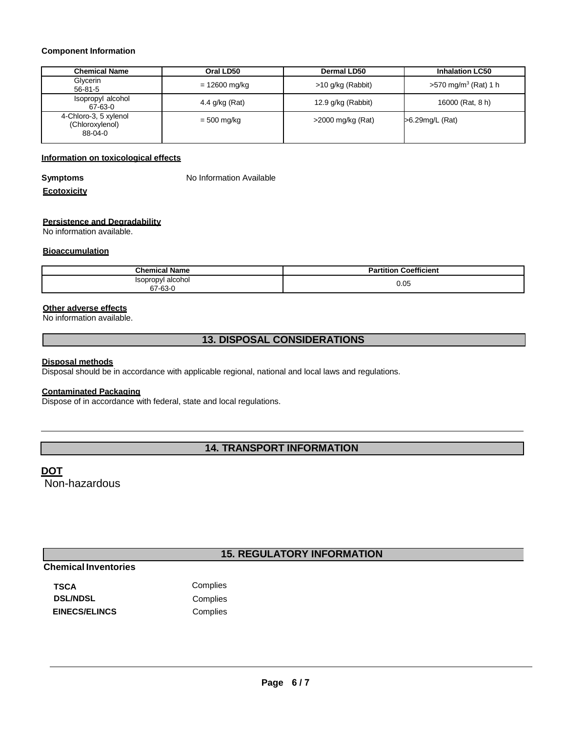#### **Component Information**

| <b>Chemical Name</b>                                | Oral LD50      | Dermal LD50          | <b>Inhalation LC50</b>          |
|-----------------------------------------------------|----------------|----------------------|---------------------------------|
| Glycerin<br>$56 - 81 - 5$                           | = 12600 mg/kg  | $>10$ g/kg (Rabbit)  | $>570 \text{ mg/m}^3$ (Rat) 1 h |
| Isopropyl alcohol<br>67-63-0                        | 4.4 g/kg (Rat) | 12.9 g/kg (Rabbit)   | 16000 (Rat, 8 h)                |
| 4-Chloro-3, 5 xylenol<br>(Chloroxylenol)<br>88-04-0 | $= 500$ mg/kg  | $>$ 2000 mg/kg (Rat) | >6.29mg/L (Rat)                 |

# **Information on toxicological effects**

**Symptoms** No Information Available

#### **Ecotoxicity**

#### **Persistence and Degradability**

No information available.

#### **Bioaccumulation**

| hemic<br>Name<br>idliit        | Coefficient |
|--------------------------------|-------------|
| Isopropyl alcohol<br>$67-63-1$ | 0.05        |

### **Other adverse effects**

No information available.

# **13. DISPOSAL CONSIDERATIONS**

#### **Disposal methods**

Disposal should be in accordance with applicable regional, national and local laws and regulations.

## **Contaminated Packaging**

Dispose of in accordance with federal, state and local regulations.

# **14. TRANSPORT INFORMATION**

# **DOT**

Non-hazardous

# **15. REGULATORY INFORMATION**

# **Chemical Inventories**

| TSCA                 | Complies |
|----------------------|----------|
| <b>DSL/NDSL</b>      | Complies |
| <b>EINECS/ELINCS</b> | Complies |